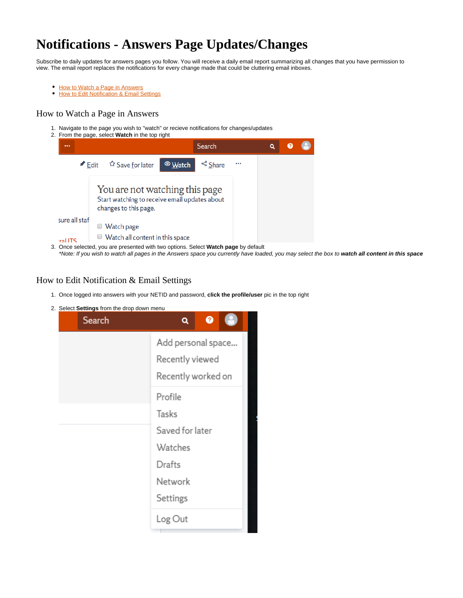# **Notifications - Answers Page Updates/Changes**

Subscribe to daily updates for answers pages you follow. You will receive a daily email report summarizing all changes that you have permission to view. The email report replaces the notifications for every change made that could be cluttering email inboxes.

- $\bullet$ [How to Watch a Page in Answers](#page-0-0)
- $\bullet$ **[How to Edit Notification & Email Settings](#page-0-1)**

### <span id="page-0-0"></span>How to Watch a Page in Answers

- 1. Navigate to the page you wish to "watch" or recieve notifications for changes/updates
- 2. From the page, select **Watch** in the top right



\*Note: If you wish to watch all pages in the Answers space you currently have loaded, you may select the box to **watch all content in this space**

## <span id="page-0-1"></span>How to Edit Notification & Email Settings

- 1. Once logged into answers with your NETID and password, **click the profile/user** pic in the top right
- 2. Select **Settings** from the drop down menu

| Search | $\bullet$<br>Q                                              |
|--------|-------------------------------------------------------------|
|        | Add personal space<br>Recently viewed<br>Recently worked on |
|        | Profile                                                     |
|        | Tasks                                                       |
|        | Saved for later                                             |
|        | Watches                                                     |
|        | Drafts                                                      |
|        | Network                                                     |
|        | Settings                                                    |
|        | Log Out                                                     |
|        |                                                             |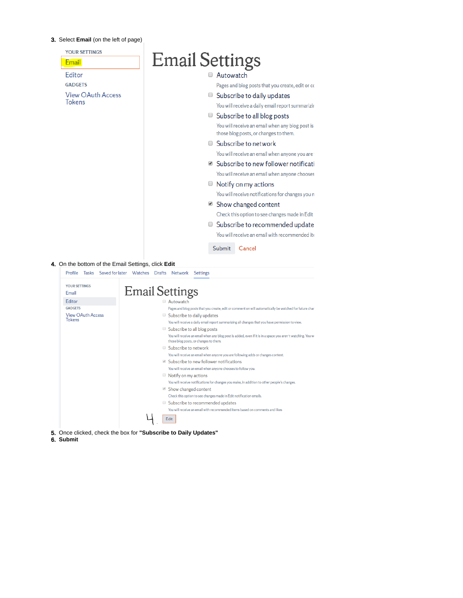#### 3. Select **Email** (on the left of page)

| <u>Email</u>             | <b>Email Settings</b>                                                                                                                             |
|--------------------------|---------------------------------------------------------------------------------------------------------------------------------------------------|
| <b>Editor</b>            | Autowatch                                                                                                                                         |
| <b>GADGETS</b>           | Pages and blog posts that you create, edit or co                                                                                                  |
| <b>View OAuth Access</b> | ■ Subscribe to daily updates                                                                                                                      |
| <b>Tokens</b>            | You will receive a daily email report summarizir                                                                                                  |
|                          | ■ Subscribe to all blog posts                                                                                                                     |
|                          | You will receive an email when any blog post is                                                                                                   |
|                          | those blog posts, or changes to them.                                                                                                             |
|                          | □ Subscribe to network                                                                                                                            |
|                          | You will receive an email when anyone you are                                                                                                     |
|                          | ■ Subscribe to new follower notificati                                                                                                            |
|                          | You will receive an email when anyone chooses                                                                                                     |
|                          | $\Box$ Notify on my actions                                                                                                                       |
|                          | You will receive notifications for changes you n                                                                                                  |
|                          | ■ Show changed content                                                                                                                            |
|                          | Check this option to see changes made in Edit                                                                                                     |
|                          | Subscribe to recommended update                                                                                                                   |
|                          |                                                                                                                                                   |
|                          | You will receive an email with recommended ite                                                                                                    |
|                          | Submit<br>Cancel                                                                                                                                  |
|                          |                                                                                                                                                   |
|                          | 4. On the bottom of the Email Settings, click Edit                                                                                                |
|                          | Profile Tasks Saved for later Watches Drafts Network<br>Settings                                                                                  |
| <b>YOUR SETTINGS</b>     |                                                                                                                                                   |
| Email                    | <b>Email Settings</b>                                                                                                                             |
| Editor<br><b>GADGETS</b> | Autowatch<br>Pages and blog posts that you create, edit or comment on will automatically be watched for future char                               |
| <b>View OAuth Access</b> | Subscribe to daily updates                                                                                                                        |
| Tokens                   | You will receive a daily email report summarizing all changes that you have permission to view.                                                   |
|                          | $\Box$ Subscribe to all blog posts<br>You will receive an email when any blog post is added, even if it is in a space you aren't watching. You wi |
|                          | those blog posts, or changes to them.                                                                                                             |
|                          | Subscribe to network                                                                                                                              |
|                          | You will receive an email when anyone you are following adds or changes content.<br>Subscribe to new follower notifications                       |
|                          | You will receive an email when anyone chooses to follow you.                                                                                      |
|                          | $\blacksquare$ Notify on my actions                                                                                                               |
|                          | You will receive notifications for changes you make, in addition to other people's changes.                                                       |
|                          | Show changed content                                                                                                                              |
|                          | Check this option to see changes made in Edit notification emails.<br>Subscribe to recommended updates                                            |
|                          | You will receive an email with recommended items based on comments and likes                                                                      |

6. **Submit**